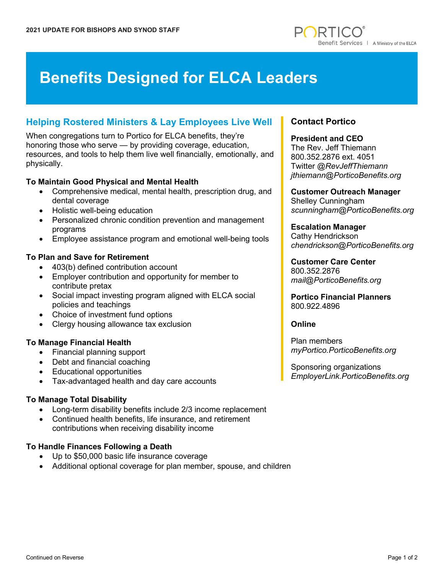

# **Benefits Designed for ELCA Leaders**

# **Helping Rostered Ministers & Lay Employees Live Well**

When congregations turn to Portico for ELCA benefits, they're honoring those who serve — by providing coverage, education, resources, and tools to help them live well financially, emotionally, and physically.

## **To Maintain Good Physical and Mental Health**

- Comprehensive medical, mental health, prescription drug, and dental coverage
- Holistic well-being education
- Personalized chronic condition prevention and management programs
- Employee assistance program and emotional well-being tools

## **To Plan and Save for Retirement**

- 403(b) defined contribution account
- Employer contribution and opportunity for member to contribute pretax
- Social impact investing program aligned with ELCA social policies and teachings
- Choice of investment fund options
- Clergy housing allowance tax exclusion

### **To Manage Financial Health**

- Financial planning support
- Debt and financial coaching
- Educational opportunities
- Tax-advantaged health and day care accounts

### **To Manage Total Disability**

- Long-term disability benefits include 2/3 income replacement
- Continued health benefits, life insurance, and retirement contributions when receiving disability income

### **To Handle Finances Following a Death**

- Up to \$50,000 basic life insurance coverage
- Additional optional coverage for plan member, spouse, and children

# **Contact Portico**

#### **President and CEO**

The Rev. Jeff Thiemann 800.352.2876 ext. 4051 Twitter *@RevJeffThiemann jthiemann@PorticoBenefits.org*

# **Customer Outreach Manager**

Shelley Cunningham *scunningham@PorticoBenefits.org*

# **Escalation Manager**

Cathy Hendrickson *chendrickson@PorticoBenefits.org*

#### **Customer Care Center** 800.352.2876

*mail@PorticoBenefits.org*

### **Portico Financial Planners** 800.922.4896

### **Online**

Plan members *myPortico.PorticoBenefits.org*

Sponsoring organizations *EmployerLink.PorticoBenefits.org*